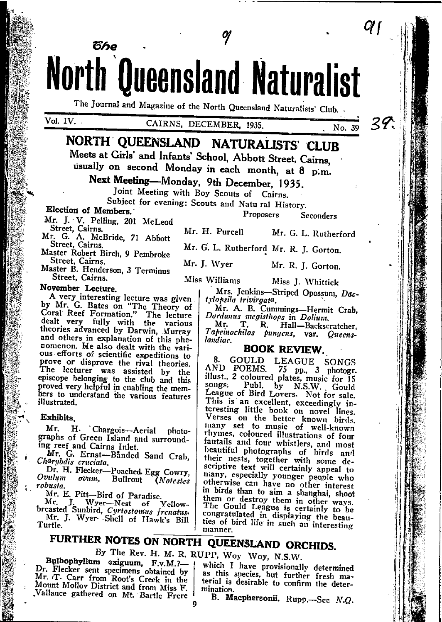North Queensland Naturalist The Journal and Magazine of the North Queensland Naturalists' Club.

## CAIRNS, DECEMBER, 1935.

29. No. 39

Q (

NORTH QUEENSLAND NATURALISTS CLUB Meets at Girls' and Infants' School, Abbott Street, Cairns,

usually on second Monday in each month, at 8 p.m.

Next Meeting-Monday, 9th December, 1935.

Joint Meeting with Boy Scouts of Cairns.

Subject for evening: Scouts and Natu ral History.

### Election of Members.

Mr. J. V. Pelling, 201 McLeod

წჩი

Street, Cairns, 201 McLeoch<br>Mr. G. A. McBride, 71 Abbott<br>Street, Cairns.

Master Robert Birch, 9 Pembroke Street, Cairns.<br>Master B. Henderson, 3 Terminus

Street, Cairns.

November Lecture.

A very interesting lecture was given A very meeting recting the Bates on "The Theory of Coral Reef Formation." The lecture<br>Coral Reef Formation." The lecture<br>dealt very fully with the various<br>theories advanced by Darwin, Murray and others in explanation of this phenomenon. He also dealt with the various efforts of scientific expeditions to prove or disprove the rival theories.<br>The lecturer was assisted by the episcope belonging to the club and this proved very helpful in enabling the members to understand the various features illustrated.

### Exhibits.

Mr. H. Chargois-Aerial photographs of Green Island and surrounding reef and Cairns Inlet.

Mr. G. Ernst-Banded Sand Crab. Charybdis cruciata.

Dr. H. Flecker-Poached Egg Cowry, *Ovulum* ovum. Bullrout *Motestes* robusta.

Mr. E. Pitt-Bird of Paradise.

Mr. J. Wyer-Nest of Yellow-<br>breasted Sunbird, Cyrtostomus frenatus. Mr. J. Wyer-Shell of Hawk's Bill Turtle.

Proposers Seconders

Mr. H. Purcell Mr. G. L. Rutherford

Mr. G. L. Rutherford Mr. R. J. Gorton.

Mr. J. Wyer Mr. R. J. Gorton.

Miss Williams

Miss J. Whittick Mrs. Jenkins-Striped Opossum, Dac-

tylopsila trivirgata. Mr. A. B. Cummings-Hermit Crab,

Dardanus megisthops in Dolium. Mr.

T. R. Hall-Backscratcher. Tapeinochilos pungens, var. Queenslandiac.

### **BOOK REVIEW.**

8. GOULD LEAGUE SONGS<br>AND POEMS. 75 pp., 3 photogr.<br>illust., 2 coloured plates, music for 15<br>songs: Publ. by N.S.W. Gould<br>ramma f Bind y N.S.W. Gould League of Bird Lovers. Not for sale. This is an excellent, exceedingly in-<br>teresting little book on novel lines. Verses on the better known birds. many set to music of well-known fantalls and four whistlers, and most fantalls and four whistlers, and most beautiful photographs of birds and their nests, together with some descriptive text will certainly appeal to many, especially younger people who otherwise can have no other interest in birds than to aim a shanghai, shoot them or destroy them in other ways.<br>The Gould League is certainly to be congratulated in displaying the beauties of bird life in such an interesting manner.

# FURTHER NOTES ON NORTH QUEENSLAND ORCHIDS.

By The Rev. H. M. R. RUPP, Woy Woy, N.S.W.

Bulbophyllum exiguum, F.v.M.?-Dr. Flecker sent specimens obtained by Mr. T. Carr from Root's Creek in the Mount Mollov District and from Miss F. Vallance gathered on Mt. Bartle Frere

which I have provisionally determined as this species, but further fresh material is desirable to confirm the determination.

B. Macphersonii. Rupp.-See N.Q.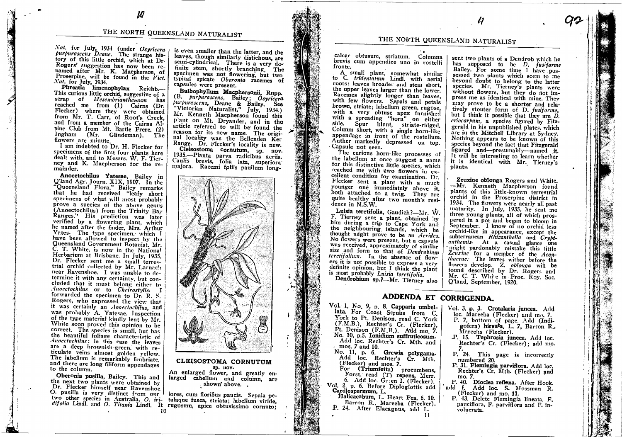Nat. for July, 1934 (under Osyricera purpurascens Deane. The strange history of this little orchid, which at Dr. Rogers' suggestion has now been renamed after Mr. K. Macpherson, of Proserpine, will be found in the Vict. Nat. for July, 1934.

Phreatia limenophylax Reichb.-This curious little orchid, suggestive of a scrap of *Mesembrianthemann* has reached me from (1) Cairns (Dr. Flecker) where they were obtained from Mr. T. Carr, of Root's Creek, and from a member of the Cairns Alpine Club from Mt. Bartle Frere. (2) Ingham (Mr. Glindeman). The flowers are minute.

I am indebted to Dr. H. Flecker for specimens of the first four plants here dealt with, and to Messrs. W. F. Tierney and K. Macpherson for the remainder.

Anoectochilus Yatesae, Bailey in Q'land Agr. Journ. XIX, 1907. In the Queensland Flora," Bailey remarks that he had received "leafy short specimens of what will most probably prove a species of the above genus (Anoectochilus) from the Trinity Bay Ranges." His prediction was later<br>verified by a flowering plant, which he named after the finder, Mrs. Arthur Yates. The type specimen, which I have been allowed to inspect by the Queensland Government Botanist, Mr. C. T. White, is now in the National Herbarium at Brisbane. In July, 1935, Dr. Flecker sent me a small terrestrial orchid collected by Mr. Larnach near Ravenshoe. I was unable to determine it with any certainty, but concluded that it must belong either to Anocctochilus or to Cheirostylis. I forwarded the specimen to Dr. R. S. Rogers, who expressed the view that it was certainly an Aoocclochilus, and was probably A. Yatesae. Inspection of the type material kindly lent by Mr. White soon proved this opinion to be correct. The species is small, but has the beautiful foliage characteristic of Anocctochilus: in this case the leaves are a deep brownish-green, with reticulate veins almost golden yellow. The labellum is remarkably fimbriate. and there are long filiform appendages to the column.

Oberonia pusilla, Bailey. This and the next two plants were obtained by Dr. Flecker himself near Ravenshoe. O. pusilla is very distinct from our I is even smaller than the latter, and the leaves, though similarly distichous, are semi-cylindrical. There is a very definite stem, shortly branching. The specimen was not flowering, but two typical spicate Oberonia racemes of capsules were present.

Bulbophyllum Macphersonii, Rupp. (B. purpurascens, Bailey; Osyricera<br>purpurascens, Deane & Bailey. See<br>"Victorian Naturalist," July, 1934.) Mr. Kenneth Macpherson found this plant on Mt. Dryander, and in the article referred to will be found the reason for its new name. The original locality was the Bellenden Ker Range. Dr. Flecker's locality is new. Cleisostoma cornutum, sp. nov.

1935.-Planta parva radicibus aeriis. Caulis brevis, folia lata, superiora majora. Racemi foliis paullum long-



### CLEISOSTOMA CORNUTUM sp. nov.

An enlarged flower, and greatly enlarged cabellum and column, are shown' above...

iores, cum floribus paucis. Sepala petwo other species in Australia, O. iri- talaque fusca, striata; labellum viride, difolia Lindl. and O. Titania Lindl. It rugosum, apice obtusissimo cornuto;

# THE NORTH QUEENSLAND NATURALIST

calcar obtusum, striatum. Columna brevis cum appendice uno in rostelli fronte.

A small plant, somewhat similar<br>to C. tridentatum Lindl. with aerial roots: leaves broader and stem short, the upper leaves larger than the lower. Racemes slightly longer than leaves, with few flowers. Sepals and petals brown, striate; labellum green, rugose, with a very obtuse apex furnished with a spreading "horn" on either<br>side. Spur blunt, striate-ridged. Colunm short, with a single horn-like appendage in front of the rostellum. Anther markedly depressed on top. Capsule not seen.

The curious horn-like processes of the labellum at once suggest a name for this distinctive little species, which reached me with two flowers in excellent condition for examination. Dr. Flecker sent a plant with a much younger one immediately above it. both attached to a twig. They are quite healthy after two month's residence in  $N.S.W.$ 

Luisia teretifolia, Gaudich?-Mr. W. F. Tierney sent a plant, obtained by him during a trip to Cape York and the neighbouring islands, which he thought might prove to be an Aerides. No flowers were present, but a capsule was received, approximately of similar size and form to that of Dendrobium teretifolium. In the absence of flowers it is not possible to express a very definite opinion, but I think the plant is most probably Luisia terctifolia.

sent two plants of a Dendrob which he has supposed to be D. fusiforme Bailey. For some time I have possessed two plants which seem to me beyond doubt to belong to the latter species. Mr. Tierney's plants were without flowers, but they do not impress me as identical with mine. They may prove to be a shorter and relatively stouter form of D. fusiforme, but  $\tilde{I}$  think it possible that they are  $D$ . criocarpum, a species figured by Fitzgerald in his unpublished plates, which are in the Mitchell Library at Sydney. Nothing appears to be known of this species beyond the fact that Fitzgerald figured and-presumably-named it. It will be interesting to learn whether it is identical with Mr. Tierney's plants.

Zevxine oblonga Rogers and White. -Mr. Kenneth Macpherson found plants of this little-known terrestrial orchid in the Proserpine district in 1934. The flowers were nearly all past maturity. In July, 1935, he sent me three young plants, all of which prospered in a pot and began to bloom in September. I know of no orchid less orchid-like in appearance, except the subterranean Rhisanthella and Cryptanthemis. At a casual glance one might pardonably mistake this little Zcuxine for a member of the Acanthaccae. The leaves wither before the flowers develop. Z. oblonga will be<br>found described by Dr. Rogers and Mr. C. T. White in Proc. Rov. Soc. Q'land, September, 1920.

Vol. 3, p. 3. Crotalaria juncea. Add

Mareeba (Flecker).

numbered 20.

loc. Mareeba (Flecker) and mo. 7.

P. 7, bottom of page. Add (Indi-

P. 15. Tephrosia juncea. Add loc.

P. 24. This page is incorrectly

P. 31. Flemingia parviflora. Add loc.

mo. 7.<br>P. 40. Dioclea reflexa. After Hook.

Rechter's Cr. Mth. (Flecker) and

gofera) hirsuta, L. 7, Barron R.,

Rechter's Cr. (Flecker); add mo.

Dendrobium sp. ?- Mr. Tierney also

# ADDENDA ET CORRIGENDA.

-11

Vol. 1, No. 9, p. 8. Capparis umbellata. For Coast Scrubs from C. York to Pt. Denison, read C. York (F.M.B.), Rechter's Cr. (Flecker), Pt. Denison (F.M.B.). Add mo. 7. No. 10, p.5. Ionidium suffruticosum. Add loc. Rechter's Cr. Mth. and mos. 7 and 10.

No. 11, p. 6. Grewia polygama.<br>Add loc. Rechter's Cr. Mth.<br>(Flecker) and mos. 7.

For (Triumfetta) procumbens,<br>Forst. read (T) repens, Merr. 6. Add loc. Green I. (Flecker). Vol. 2. p. 6. Before Diploglottis add

Cardiospermum, L.<br>Halicacabum, L.<br>Halicacabum, L. Heart Pea, 6, 10.

Barron R., Mareeba (Flecker). P. 24. After Elaeagnus, add L.

add f. Add loc. S. Mossman R. (Flecker) and mo. 11. P. 43. Delete Flemingia lineata, F. pauciflora, F. parviflora and F. involucrata.